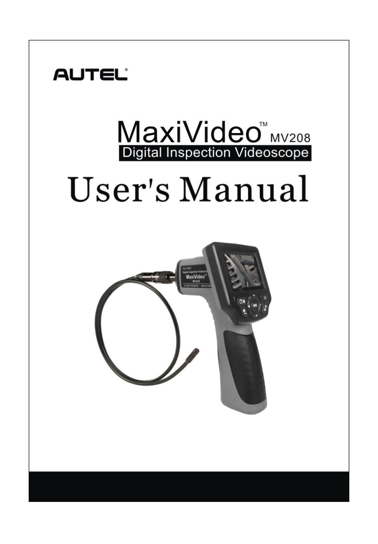

# MaxiVideo<sup>W</sup> MV208

## **User's Manual**

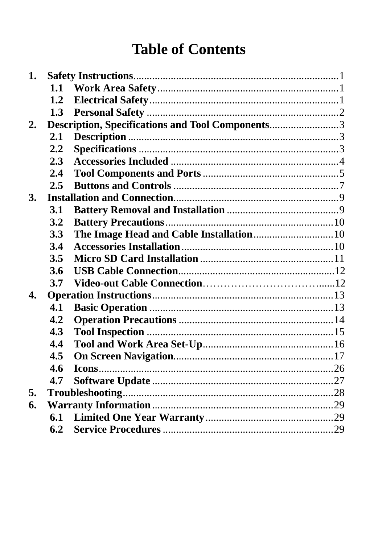## **Table of Contents**

| 1.               |               |                                                  |  |
|------------------|---------------|--------------------------------------------------|--|
|                  | 1.1           |                                                  |  |
|                  | 1.2           |                                                  |  |
|                  | 1.3           |                                                  |  |
| $\overline{2}$ . |               | Description, Specifications and Tool Components3 |  |
|                  | 2.1           |                                                  |  |
|                  | 2.2           |                                                  |  |
|                  | 2.3           |                                                  |  |
|                  | 2.4           |                                                  |  |
|                  | 2.5           |                                                  |  |
| 3.               |               |                                                  |  |
|                  | 3.1           |                                                  |  |
|                  | 3.2           |                                                  |  |
|                  | 3.3           |                                                  |  |
|                  | 3.4           |                                                  |  |
|                  | 3.5           |                                                  |  |
|                  | 3.6           |                                                  |  |
|                  | 3.7           |                                                  |  |
| 4.               |               |                                                  |  |
|                  | 4.1           |                                                  |  |
|                  | 4.2           |                                                  |  |
|                  | 4.3           |                                                  |  |
|                  | 4.4           |                                                  |  |
|                  | $4.5^{\circ}$ |                                                  |  |
|                  | 4.6           |                                                  |  |
|                  | 4.7           |                                                  |  |
| 5.               |               |                                                  |  |
| 6.               |               |                                                  |  |
|                  | 6.1           |                                                  |  |
|                  | 6.2           |                                                  |  |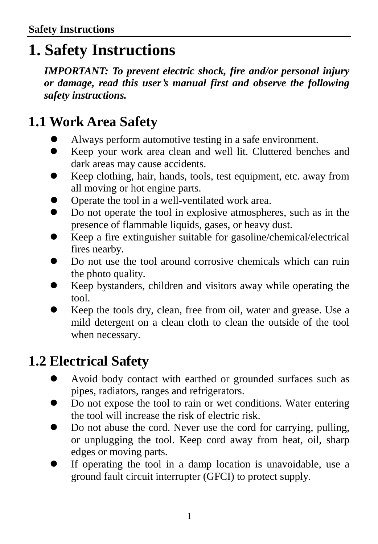## <span id="page-2-0"></span>**1. Safety Instructions**

*IMPORTANT: To prevent electric shock, fire and/or personal injury or damage, read this user's manual first and observe the following safety instructions.*

## <span id="page-2-1"></span>**1.1 Work Area Safety**

- Always perform automotive testing in a safe environment.
- Keep your work area clean and well lit. Cluttered benches and dark areas may cause accidents.
- Keep clothing, hair, hands, tools, test equipment, etc. away from all moving or hot engine parts.
- Operate the tool in a well-ventilated work area.
- Do not operate the tool in explosive atmospheres, such as in the presence of flammable liquids, gases, or heavy dust.
- Keep a fire extinguisher suitable for gasoline/chemical/electrical fires nearby.
- Do not use the tool around corrosive chemicals which can ruin the photo quality.
- Keep bystanders, children and visitors away while operating the tool.
- Keep the tools dry, clean, free from oil, water and grease. Use a mild detergent on a clean cloth to clean the outside of the tool when necessary.

#### <span id="page-2-2"></span>**1.2 Electrical Safety**

- Avoid body contact with earthed or grounded surfaces such as pipes, radiators, ranges and refrigerators.
- Do not expose the tool to rain or wet conditions. Water entering the tool will increase the risk of electric risk.
- Do not abuse the cord. Never use the cord for carrying, pulling, or unplugging the tool. Keep cord away from heat, oil, sharp edges or moving parts.
- If operating the tool in a damp location is unavoidable, use a ground fault circuit interrupter (GFCI) to protect supply.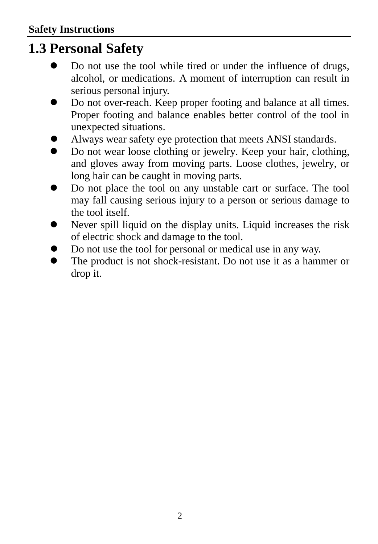#### <span id="page-3-0"></span>**1.3 Personal Safety**

- Do not use the tool while tired or under the influence of drugs, alcohol, or medications. A moment of interruption can result in serious personal injury.
- Do not over-reach. Keep proper footing and balance at all times. Proper footing and balance enables better control of the tool in unexpected situations.
- Always wear safety eye protection that meets ANSI standards.
- Do not wear loose clothing or jewelry. Keep your hair, clothing, and gloves away from moving parts. Loose clothes, jewelry, or long hair can be caught in moving parts.
- Do not place the tool on any unstable cart or surface. The tool may fall causing serious injury to a person or serious damage to the tool itself.
- Never spill liquid on the display units. Liquid increases the risk of electric shock and damage to the tool.
- Do not use the tool for personal or medical use in any way.
- The product is not shock-resistant. Do not use it as a hammer or drop it.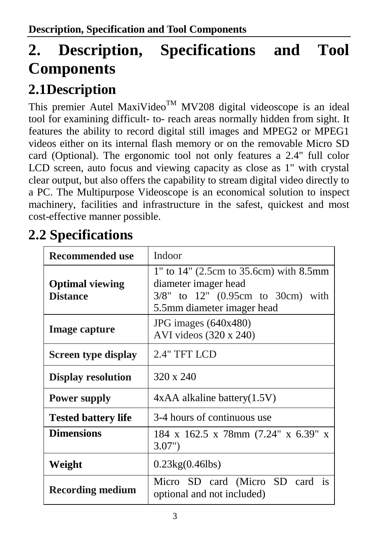## **2. Description, Specifications and Tool Components**

## <span id="page-4-1"></span><span id="page-4-0"></span>**2.1Description**

This premier Autel MaxiVideo<sup>TM</sup> MV208 digital videoscope is an ideal tool for examining difficult- to- reach areas normally hidden from sight. It features the ability to record digital still images and MPEG2 or MPEG1 videos either on its internal flash memory or on the removable Micro SD card (Optional). The ergonomic tool not only features a 2.4" full color LCD screen, auto focus and viewing capacity as close as 1" with crystal clear output, but also offers the capability to stream digital video directly to a PC. The Multipurpose Videoscope is an economical solution to inspect machinery, facilities and infrastructure in the safest, quickest and most cost-effective manner possible.

## **2.2 Specifications**

| Recommended use                           | Indoor                                                                                                                                  |  |
|-------------------------------------------|-----------------------------------------------------------------------------------------------------------------------------------------|--|
| <b>Optimal viewing</b><br><b>Distance</b> | 1" to 14" (2.5cm to 35.6cm) with 8.5mm<br>diameter imager head<br>$3/8$ " to $12$ " (0.95cm to 30cm) with<br>5.5mm diameter imager head |  |
| Image capture                             | JPG images $(640x480)$<br>AVI videos (320 x 240)                                                                                        |  |
| Screen type display                       | 2.4" TFT LCD                                                                                                                            |  |
| <b>Display resolution</b>                 | 320 x 240                                                                                                                               |  |
| <b>Power supply</b>                       | $4xAA$ alkaline battery $(1.5V)$                                                                                                        |  |
| <b>Tested battery life</b>                | 3-4 hours of continuous use                                                                                                             |  |
| <b>Dimensions</b>                         | 184 x 162.5 x 78mm (7.24" x 6.39" x<br>3.07"                                                                                            |  |
| Weight                                    | $0.23\text{kg}(0.46\text{lb})$                                                                                                          |  |
| <b>Recording medium</b>                   | Micro SD card (Micro SD card is<br>optional and not included)                                                                           |  |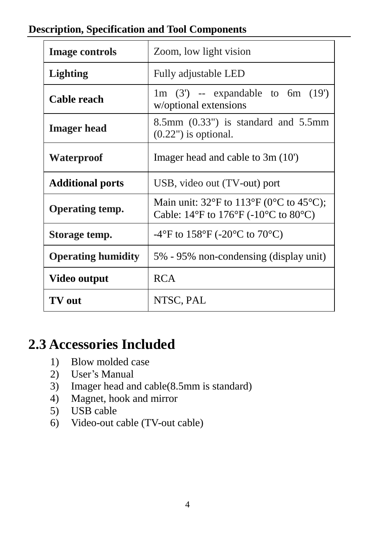| <b>Description, Specification and Tool Components</b> |
|-------------------------------------------------------|
|-------------------------------------------------------|

| <b>Image controls</b>     | Zoom, low light vision                                                                                                                                                                    |  |
|---------------------------|-------------------------------------------------------------------------------------------------------------------------------------------------------------------------------------------|--|
| <b>Lighting</b>           | Fully adjustable LED                                                                                                                                                                      |  |
| Cable reach               | 1m $(3')$ -- expandable to 6m $(19')$<br>w/optional extensions                                                                                                                            |  |
| <b>Imager</b> head        | $8.5$ mm $(0.33")$ is standard and $5.5$ mm<br>$(0.22")$ is optional.                                                                                                                     |  |
| Waterproof                | Imager head and cable to $3m(10)$                                                                                                                                                         |  |
| <b>Additional ports</b>   | USB, video out (TV-out) port                                                                                                                                                              |  |
| Operating temp.           | Main unit: 32 $\overline{F}$ to 113 $\overline{F}$ (0 $\overline{C}$ to 45 $\overline{C}$ );<br>Cable: 14 $\overline{F}$ to 176 $\overline{F}$ (-10 $\overline{C}$ to 80 $\overline{C}$ ) |  |
| Storage temp.             | -4 $\rm{F}$ to 158 $\rm{F}$ (-20 $\rm{C}$ to 70 $\rm{C}$ )                                                                                                                                |  |
| <b>Operating humidity</b> | 5% - 95% non-condensing (display unit)                                                                                                                                                    |  |
| Video output              | <b>RCA</b>                                                                                                                                                                                |  |
| TV out                    | NTSC, PAL                                                                                                                                                                                 |  |

#### <span id="page-5-0"></span>**2.3 Accessories Included**

- 1) Blow molded case
- 2) User's Manual<br>3) Imager head an
- 3) Imager head and cable(8.5mm is standard)
- 4) Magnet, hook and mirror
- 5) USB cable
- 6) Video-out cable (TV-out cable)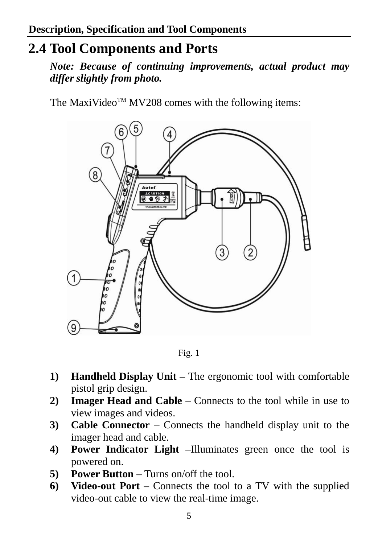#### **2.4 Tool Components and Ports**

*<sup>1</sup>Note: Because of continuing improvements, actual product may differ slightly from photo.*

The MaxiVideo<sup>TM</sup> MV208 comes with the following items:



Fig. 1

- **1) Handheld Display Unit –** The ergonomic tool with comfortable pistol grip design.
- **2) Imager Head and Cable**  Connects to the tool while in use to view images and videos.
- **3) Cable Connector** Connects the handheld display unit to the imager head and cable.
- **4) Power Indicator Light –**Illuminates green once the tool is powered on.
- **5) Power Button –** Turns on/off the tool.
- **6) Video-out Port –** Connects the tool to a TV with the supplied video-out cable to view the real-time image.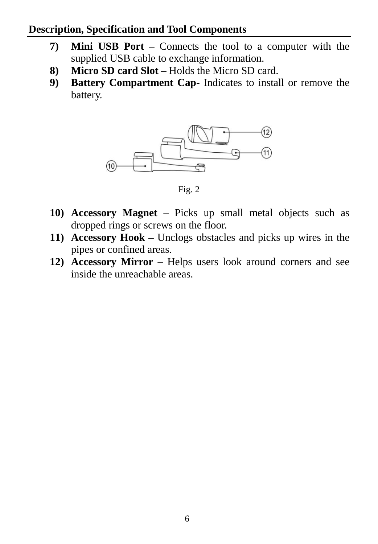#### **Description, Specification and Tool Components**

- **7) Mini USB Port –** Connects the tool to a computer with the supplied USB cable to exchange information.
- **8) Micro SD card Slot –** Holds the Micro SD card.
- **9) Battery Compartment Cap-** Indicates to install or remove the battery.



Fig. 2

- **10) Accessory Magnet** Picks up small metal objects such as dropped rings or screws on the floor.
- **11) Accessory Hook –** Unclogs obstacles and picks up wires in the pipes or confined areas.
- **12) Accessory Mirror –** Helps users look around corners and see inside the unreachable areas.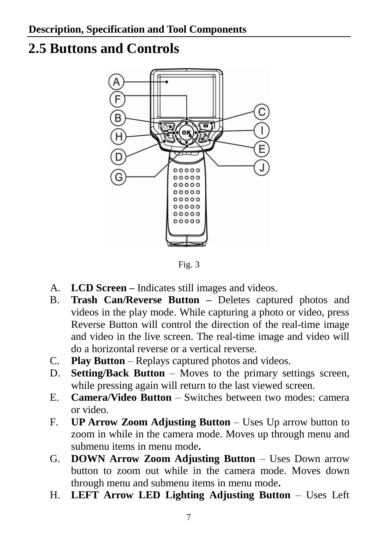#### <span id="page-8-0"></span>**2.5 Buttons and Controls**



Fig. 3

- A. **LCD Screen –** Indicates still images and videos.
- B. **Trash Can/Reverse Button –** Deletes captured photos and videos in the play mode. While capturing a photo or video, press Reverse Button will control the direction of the real-time image and video in the live screen. The real-time image and video will do a horizontal reverse or a vertical reverse.
- C. **Play Button** Replays captured photos and videos.
- D. **Setting/Back Button** Moves to the primary settings screen, while pressing again will return to the last viewed screen.
- E. **Camera/Video Button** Switches between two modes: camera or video.
- F. **UP Arrow Zoom Adjusting Button** Uses Up arrow button to zoom in while in the camera mode. Moves up through menu and submenu items in menu mode**.**
- G. **DOWN Arrow Zoom Adjusting Button** Uses Down arrow button to zoom out while in the camera mode. Moves down through menu and submenu items in menu mode**.**
- H. **LEFT Arrow LED Lighting Adjusting Button** Uses Left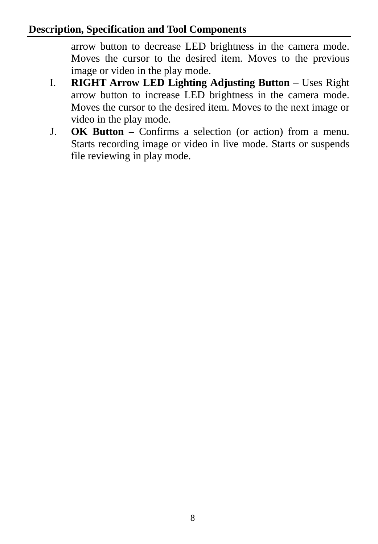#### **Description, Specification and Tool Components**

arrow button to decrease LED brightness in the camera mode. Moves the cursor to the desired item. Moves to the previous image or video in the play mode.

- I. **RIGHT Arrow LED Lighting Adjusting Button** Uses Right arrow button to increase LED brightness in the camera mode. Moves the cursor to the desired item. Moves to the next image or video in the play mode.
- J. **OK Button –** Confirms a selection (or action) from a menu. Starts recording image or video in live mode. Starts or suspends file reviewing in play mode.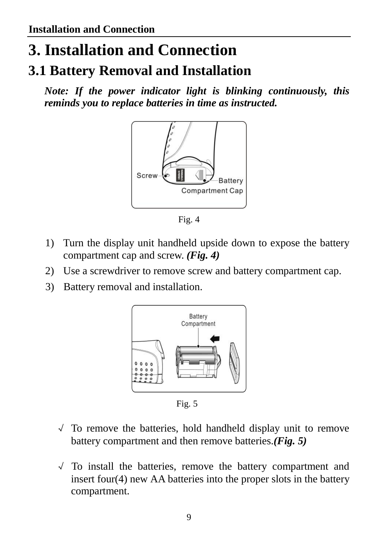## **3. Installation and Connection**

#### **3.1 Battery Removal and Installation**

 *Note: If the power indicator light is blinking continuously, this reminds you to replace batteries in time as instructed.*



Fig. 4

- 1) Turn the display unit handheld upside down to expose the battery compartment cap and screw. *(Fig. 4)*
- 2) Use a screwdriver to remove screw and battery compartment cap.
- 3) Battery removal and installation.



Fig. 5

- √ To remove the batteries, hold handheld display unit to remove battery compartment and then remove batteries.*(Fig. 5)*
- √ To install the batteries, remove the battery compartment and insert four(4) new AA batteries into the proper slots in the battery compartment.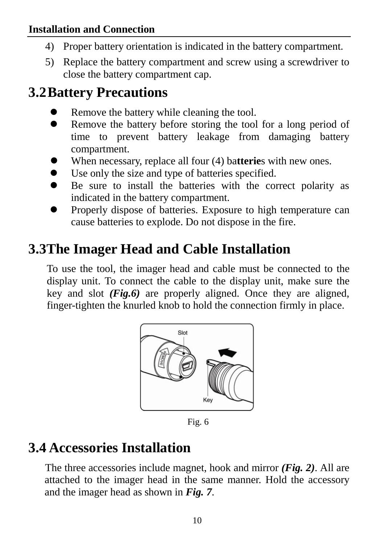#### **Installation and Connection**

- 4) Proper battery orientation is indicated in the battery compartment.
- 5) Replace the battery compartment and screw using a screwdriver to close the battery compartment cap.

#### **3.2Battery Precautions**

- Remove the battery while cleaning the tool.
- Remove the battery before storing the tool for a long period of time to prevent battery leakage from damaging battery compartment.
- When necessary, replace all four (4) ba**tterie**s with new ones.
- Use only the size and type of batteries specified.
- Be sure to install the batteries with the correct polarity as indicated in the battery compartment.
- Properly dispose of batteries. Exposure to high temperature can cause batteries to explode. Do not dispose in the fire.

#### **3.3The Imager Head and Cable Installation**

To use the tool, the imager head and cable must be connected to the display unit. To connect the cable to the display unit, make sure the key and slot *(Fig.6)* are properly aligned. Once they are aligned, finger-tighten the knurled knob to hold the connection firmly in place.



Fig. 6

#### **3.4 Accessories Installation**

The three accessories include magnet, hook and mirror *(Fig. 2)*. All are attached to the imager head in the same manner. Hold the accessory and the imager head as shown in *Fig. 7*.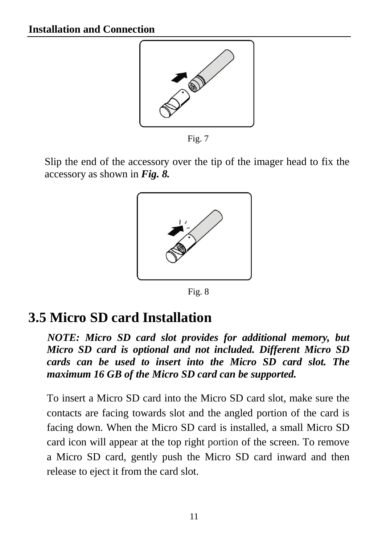

Fig. 7

Slip the end of the accessory over the tip of the imager head to fix the accessory as shown in *Fig. 8.*



Fig. 8

#### <span id="page-12-0"></span>**3.5 Micro SD card Installation**

*NOTE: Micro SD card slot provides for additional memory, but Micro SD card is optional and not included. Different Micro SD cards can be used to insert into the Micro SD card slot. The maximum 16 GB of the Micro SD card can be supported.* 

To insert a Micro SD card into the Micro SD card slot, make sure the contacts are facing towards slot and the angled portion of the card is facing down. When the Micro SD card is installed, a small Micro SD card icon will appear at the top right portion of the screen. To remove a Micro SD card, gently push the Micro SD card inward and then release to eject it from the card slot.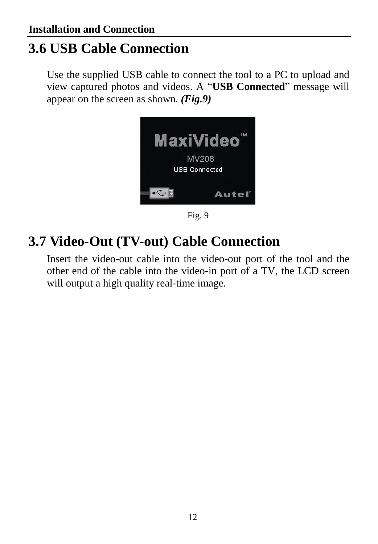### **3.6 USB Cable Connection**

Use the supplied USB cable to connect the tool to a PC to upload and view captured photos and videos. A "**USB Connected**" message will appear on the screen as shown. *(Fig.9)*



Fig. 9

## **3.7 Video-Out (TV-out) Cable Connection**

Insert the video-out cable into the video-out port of the tool and the other end of the cable into the video-in port of a TV, the LCD screen will output a high quality real-time image.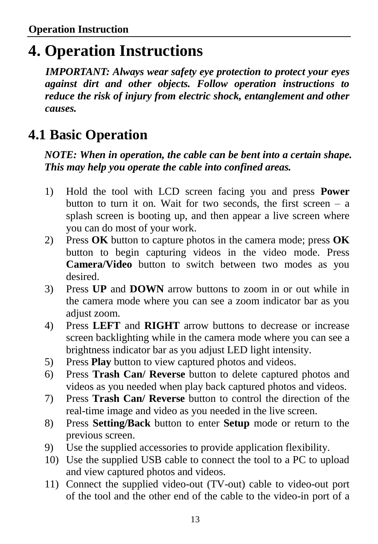## <span id="page-14-0"></span>**4. Operation Instructions**

*<sup>1</sup>IMPORTANT: Always wear safety eye protection to protect your eyes against dirt and other objects. Follow operation instructions to reduce the risk of injury from electric shock, entanglement and other causes.*

## **4.1 Basic Operation**

*NOTE: When in operation, the cable can be bent into a certain shape. This may help you operate the cable into confined areas.*

- 1) Hold the tool with LCD screen facing you and press **Power**  button to turn it on. Wait for two seconds, the first screen  $-$  a splash screen is booting up, and then appear a live screen where you can do most of your work.
- 2) Press **OK** button to capture photos in the camera mode; press **OK**  button to begin capturing videos in the video mode. Press **Camera/Video** button to switch between two modes as you desired.
- 3) Press **UP** and **DOWN** arrow buttons to zoom in or out while in the camera mode where you can see a zoom indicator bar as you adjust zoom.
- 4) Press **LEFT** and **RIGHT** arrow buttons to decrease or increase screen backlighting while in the camera mode where you can see a brightness indicator bar as you adjust LED light intensity.
- 5) Press **Play** button to view captured photos and videos.
- 6) Press **Trash Can/ Reverse** button to delete captured photos and videos as you needed when play back captured photos and videos.
- 7) Press **Trash Can/ Reverse** button to control the direction of the real-time image and video as you needed in the live screen.
- 8) Press **Setting/Back** button to enter **Setup** mode or return to the previous screen.
- 9) Use the supplied accessories to provide application flexibility.
- 10) Use the supplied USB cable to connect the tool to a PC to upload and view captured photos and videos.
- 11) Connect the supplied video-out (TV-out) cable to video-out port of the tool and the other end of the cable to the video-in port of a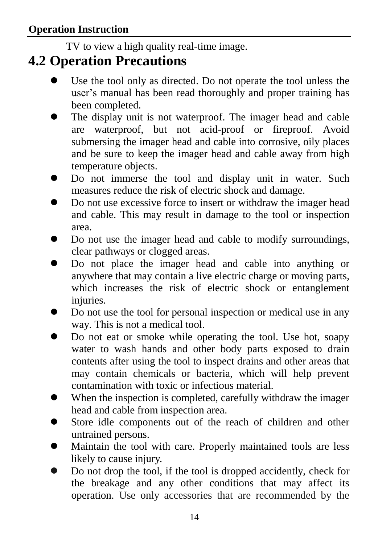TV to view a high quality real-time image.

#### <span id="page-15-0"></span>**4.2 Operation Precautions**

- Use the tool only as directed. Do not operate the tool unless the user's manual has been read thoroughly and proper training has been completed.
- The display unit is not waterproof. The imager head and cable are waterproof, but not acid-proof or fireproof. Avoid submersing the imager head and cable into corrosive, oily places and be sure to keep the imager head and cable away from high temperature objects.
- $\bullet$  Do not immerse the tool and display unit in water. Such measures reduce the risk of electric shock and damage.
- Do not use excessive force to insert or withdraw the imager head and cable. This may result in damage to the tool or inspection area.
- Do not use the imager head and cable to modify surroundings, clear pathways or clogged areas.
- Do not place the imager head and cable into anything or anywhere that may contain a live electric charge or moving parts, which increases the risk of electric shock or entanglement injuries.
- Do not use the tool for personal inspection or medical use in any way. This is not a medical tool.
- Do not eat or smoke while operating the tool. Use hot, soapy water to wash hands and other body parts exposed to drain contents after using the tool to inspect drains and other areas that may contain chemicals or bacteria, which will help prevent contamination with toxic or infectious material.
- When the inspection is completed, carefully withdraw the imager head and cable from inspection area.
- Store idle components out of the reach of children and other untrained persons.
- Maintain the tool with care. Properly maintained tools are less likely to cause injury.
- Do not drop the tool, if the tool is dropped accidently, check for the breakage and any other conditions that may affect its operation. Use only accessories that are recommended by the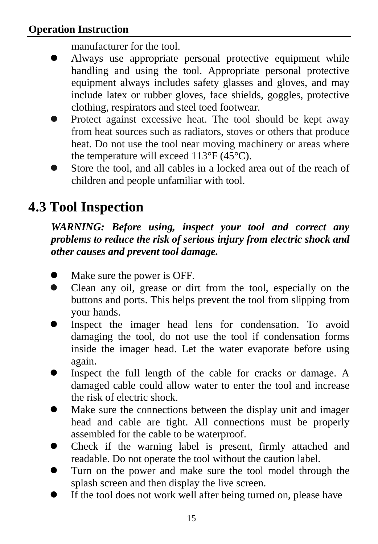manufacturer for the tool.

- Always use appropriate personal protective equipment while handling and using the tool. Appropriate personal protective equipment always includes safety glasses and gloves, and may include latex or rubber gloves, face shields, goggles, protective clothing, respirators and steel toed footwear.
- Protect against excessive heat. The tool should be kept away from heat sources such as radiators, stoves or others that produce heat. Do not use the tool near moving machinery or areas where the temperature will exceed 113 $\mathcal{F}(45\mathcal{C})$ .
- Store the tool, and all cables in a locked area out of the reach of children and people unfamiliar with tool.

## <span id="page-16-0"></span>**4.3 Tool Inspection**

#### *WARNING: Before using, inspect your tool and correct any problems to reduce the risk of serious injury from electric shock and other causes and prevent tool damage.*

- Make sure the power is OFF.
- Clean any oil, grease or dirt from the tool, especially on the buttons and ports. This helps prevent the tool from slipping from your hands.
- Inspect the imager head lens for condensation. To avoid damaging the tool, do not use the tool if condensation forms inside the imager head. Let the water evaporate before using again.
- Inspect the full length of the cable for cracks or damage. A damaged cable could allow water to enter the tool and increase the risk of electric shock.
- Make sure the connections between the display unit and imager head and cable are tight. All connections must be properly assembled for the cable to be waterproof.
- Check if the warning label is present, firmly attached and readable. Do not operate the tool without the caution label.
- Turn on the power and make sure the tool model through the splash screen and then display the live screen.
- If the tool does not work well after being turned on, please have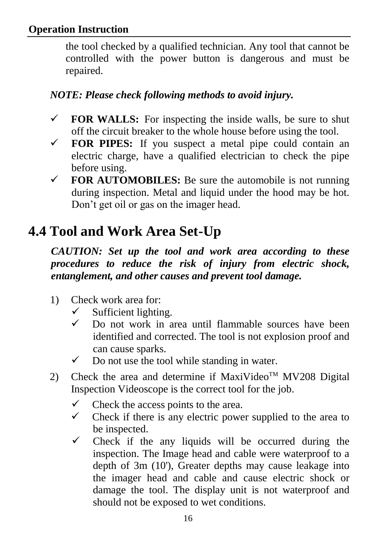the tool checked by a qualified technician. Any tool that cannot be controlled with the power button is dangerous and must be repaired.

#### *<sup>2</sup>NOTE: Please check following methods to avoid injury.*

- $\checkmark$  **FOR WALLS:** For inspecting the inside walls, be sure to shut off the circuit breaker to the whole house before using the tool.
- $\checkmark$  **FOR PIPES:** If you suspect a metal pipe could contain an electric charge, have a qualified electrician to check the pipe before using.
- $\checkmark$  **FOR AUTOMOBILES:** Be sure the automobile is not running during inspection. Metal and liquid under the hood may be hot. Don't get oil or gas on the imager head.

## <span id="page-17-0"></span>**4.4 Tool and Work Area Set-Up**

*CAUTION: Set up the tool and work area according to these procedures to reduce the risk of injury from electric shock, entanglement, and other causes and prevent tool damage.*

- 1) Check work area for:
	- $\checkmark$  Sufficient lighting.
	- $\checkmark$  Do not work in area until flammable sources have been identified and corrected. The tool is not explosion proof and can cause sparks.
	- $\checkmark$  Do not use the tool while standing in water.
- 2) Check the area and determine if MaxiVideo<sup>TM</sup> MV208 Digital Inspection Videoscope is the correct tool for the job.
	- $\checkmark$  Check the access points to the area.
	- $\checkmark$  Check if there is any electric power supplied to the area to be inspected.
	- $\checkmark$  Check if the any liquids will be occurred during the inspection. The Image head and cable were waterproof to a depth of 3m (10'), Greater depths may cause leakage into the imager head and cable and cause electric shock or damage the tool. The display unit is not waterproof and should not be exposed to wet conditions.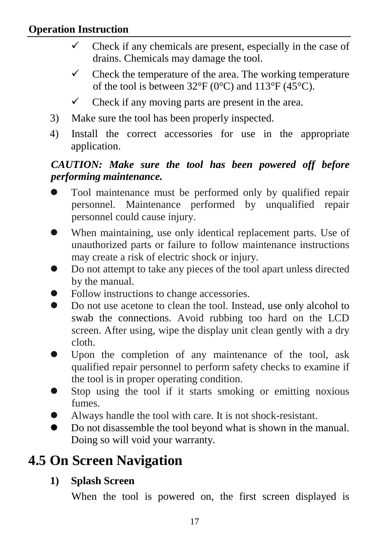- $\checkmark$  Check if any chemicals are present, especially in the case of drains. Chemicals may damage the tool.
- $\checkmark$  Check the temperature of the area. The working temperature of the tool is between 32 $\mathcal{F}$  (0 $\mathcal{C}$ ) and 113 $\mathcal{F}$  (45 $\mathcal{C}$ ).
- $\checkmark$  Check if any moving parts are present in the area.
- 3) Make sure the tool has been properly inspected.
- 4) Install the correct accessories for use in the appropriate application.

#### *CAUTION: Make sure the tool has been powered off before performing maintenance.*

- Tool maintenance must be performed only by qualified repair personnel. Maintenance performed by unqualified repair personnel could cause injury.
- When maintaining, use only identical replacement parts. Use of unauthorized parts or failure to follow maintenance instructions may create a risk of electric shock or injury.
- Do not attempt to take any pieces of the tool apart unless directed by the manual.
- Follow instructions to change accessories.
- Do not use acetone to clean the tool. Instead, use only alcohol to swab the connections. Avoid rubbing too hard on the LCD screen. After using, wipe the display unit clean gently with a dry cloth.
- Upon the completion of any maintenance of the tool, ask qualified repair personnel to perform safety checks to examine if the tool is in proper operating condition.
- Stop using the tool if it starts smoking or emitting noxious fumes.
- Always handle the tool with care. It is not shock-resistant.
- Do not disassemble the tool beyond what is shown in the manual. Doing so will void your warranty.

## **4.5 On Screen Navigation**

#### **1) Splash Screen**

When the tool is powered on, the first screen displayed is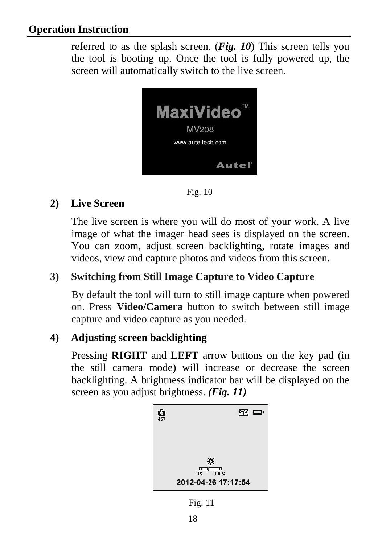referred to as the splash screen. (*Fig. 10*) This screen tells you the tool is booting up. Once the tool is fully powered up, the screen will automatically switch to the live screen.



Fig. 10

#### **2) Live Screen**

The live screen is where you will do most of your work. A live image of what the imager head sees is displayed on the screen. You can zoom, adjust screen backlighting, rotate images and videos, view and capture photos and videos from this screen.

#### **3) Switching from Still Image Capture to Video Capture**

By default the tool will turn to still image capture when powered on. Press Video/Camera button to switch between still image capture and video capture as you needed.

#### **4) Adjusting screen backlighting**

Pressing **RIGHT** and **LEFT** arrow buttons on the key pad (in the still camera mode) will increase or decrease the screen backlighting. A brightness indicator bar will be displayed on the screen as you adjust brightness. *(Fig. 11)*



Fig. 11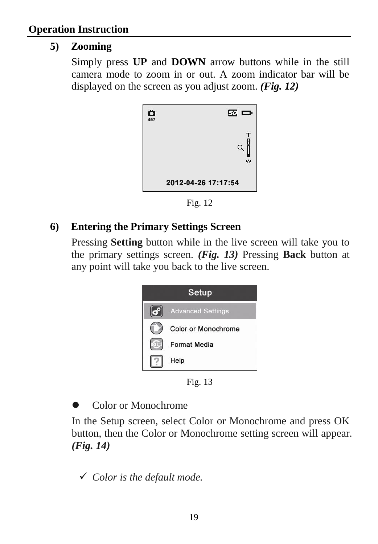#### **5) Zooming**

Simply press **UP** and **DOWN** arrow buttons while in the still camera mode to zoom in or out. A zoom indicator bar will be displayed on the screen as you adjust zoom. *(Fig. 12)*



Fig. 12

#### **6) Entering the Primary Settings Screen**

Pressing **Setting** button while in the live screen will take you to the primary settings screen. *(Fig. 13)* Pressing **Back** button at any point will take you back to the live screen.



Fig. 13

Color or Monochrome

In the Setup screen, select Color or Monochrome and press OK button, then the Color or Monochrome setting screen will appear. *(Fig. 14)*

*Color is the default mode.*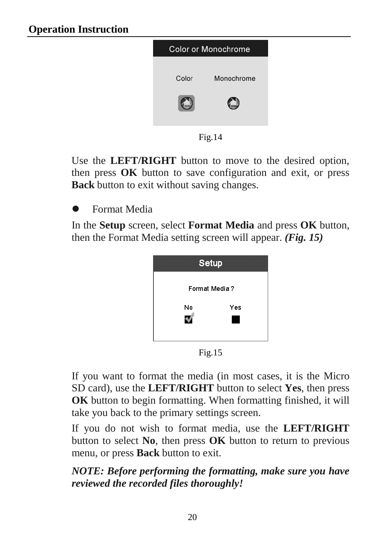

Fig.14

Use the **LEFT/RIGHT** button to move to the desired option, then press **OK** button to save configuration and exit, or press **Back** button to exit without saving changes.

Format Media

In the **Setup** screen, select **Format Media** and press **OK** button, then the Format Media setting screen will appear. *(Fig. 15)*



Fig.15

If you want to format the media (in most cases, it is the Micro SD card), use the **LEFT/RIGHT** button to select **Yes**, then press **OK** button to begin formatting. When formatting finished, it will take you back to the primary settings screen.

If you do not wish to format media, use the **LEFT/RIGHT** button to select **No**, then press **OK** button to return to previous menu, or press **Back** button to exit.

*NOTE: Before performing the formatting, make sure you have reviewed the recorded files thoroughly!*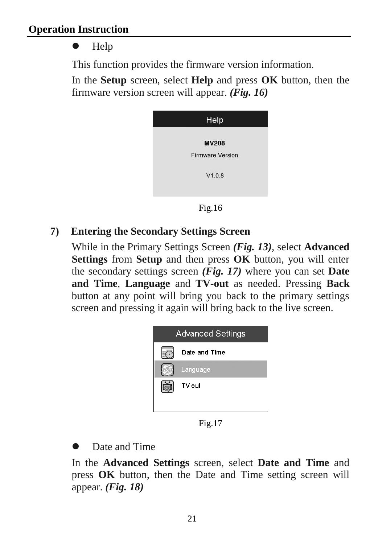#### Help

This function provides the firmware version information.

In the **Setup** screen, select **Help** and press **OK** button, then the firmware version screen will appear. *(Fig. 16)*

| Help                    |  |
|-------------------------|--|
| <b>MV208</b>            |  |
| <b>Firmware Version</b> |  |
| V1.0.8                  |  |
|                         |  |

Fig.16

#### **7) Entering the Secondary Settings Screen**

While in the Primary Settings Screen *(Fig. 13)*, select **Advanced Settings** from **Setup** and then press **OK** button, you will enter the secondary settings screen *(Fig. 17)* where you can set **Date and Time**, **Language** and **TV-out** as needed. Pressing **Back**  button at any point will bring you back to the primary settings screen and pressing it again will bring back to the live screen.



Fig.17

Date and Time

In the **Advanced Settings** screen, select **Date and Time** and press **OK** button, then the Date and Time setting screen will appear. *(Fig. 18)*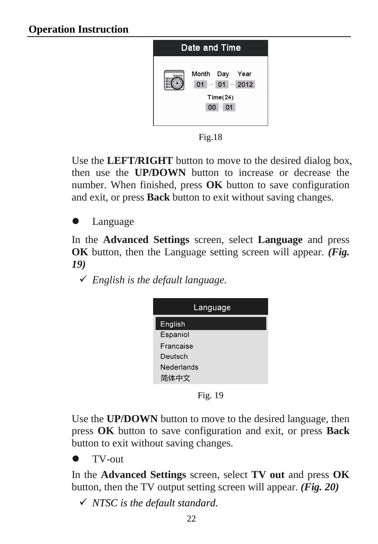

Fig.18

Use the **LEFT/RIGHT** button to move to the desired dialog box, then use the **UP/DOWN** button to increase or decrease the number. When finished, press **OK** button to save configuration and exit, or press **Back** button to exit without saving changes.

Language

In the **Advanced Settings** screen, select **Language** and press **OK** button, then the Language setting screen will appear. *(Fig. 19)*

*English is the default language.*

| Language   |  |  |
|------------|--|--|
| English    |  |  |
| Espaniol   |  |  |
| Francaise  |  |  |
| Deutsch    |  |  |
| Nederlands |  |  |
| 简体中文       |  |  |

Fig. 19

Use the **UP/DOWN** button to move to the desired language, then press **OK** button to save configuration and exit, or press **Back** button to exit without saving changes.

TV-out

In the **Advanced Settings** screen, select **TV out** and press **OK** button, then the TV output setting screen will appear. *(Fig. 20)*

*NTSC is the default standard.*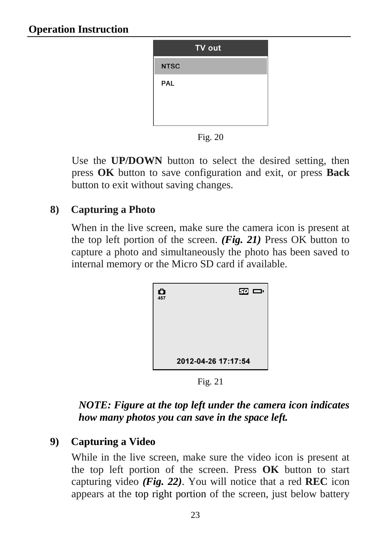| TV out      |
|-------------|
| <b>NTSC</b> |
| PAL         |
|             |
|             |

Fig. 20

Use the **UP/DOWN** button to select the desired setting, then press **OK** button to save configuration and exit, or press **Back** button to exit without saving changes.

#### **8) Capturing a Photo**

When in the live screen, make sure the camera icon is present at the top left portion of the screen. *(Fig. 21)* Press OK button to capture a photo and simultaneously the photo has been saved to internal memory or the Micro SD card if available.

| Õ<br>457 | <b>ED</b>           |
|----------|---------------------|
|          | 2012-04-26 17:17:54 |

Fig. 21

#### *NOTE: Figure at the top left under the camera icon indicates how many photos you can save in the space left.*

#### **9) Capturing a Video**

While in the live screen, make sure the video icon is present at the top left portion of the screen. Press **OK** button to start capturing video *(Fig. 22)*. You will notice that a red **REC** icon appears at the top right portion of the screen, just below battery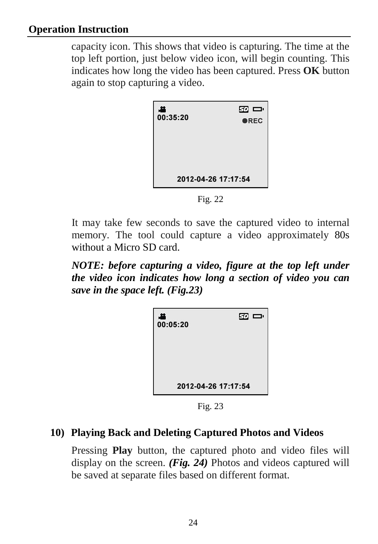capacity icon. This shows that video is capturing. The time at the top left portion, just below video icon, will begin counting. This indicates how long the video has been captured. Press **OK** button again to stop capturing a video.

| ᅽ<br>00:35:20       | œ œ<br><b>OREC</b> |
|---------------------|--------------------|
|                     |                    |
| 2012-04-26 17:17:54 |                    |

Fig. 22

It may take few seconds to save the captured video to internal memory. The tool could capture a video approximately 80s without a Micro SD card.

*NOTE: before capturing a video, figure at the top left under the video icon indicates how long a section of video you can save in the space left. (Fig.23)*

| , 22<br>00:05:20    | $\mathbf{E}$ |
|---------------------|--------------|
| 2012-04-26 17:17:54 |              |

Fig. 23

#### **10) Playing Back and Deleting Captured Photos and Videos**

Pressing **Play** button, the captured photo and video files will display on the screen. *(Fig. 24)* Photos and videos captured will be saved at separate files based on different format.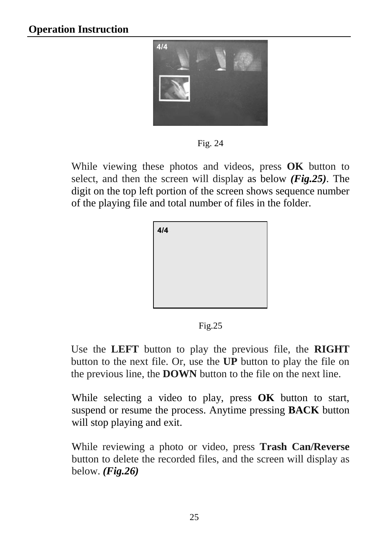

Fig. 24

While viewing these photos and videos, press **OK** button to select, and then the screen will display as below *(Fig.25)*. The digit on the top left portion of the screen shows sequence number of the playing file and total number of files in the folder.



Fig.25

 Use the **LEFT** button to play the previous file, the **RIGHT** button to the next file. Or, use the **UP** button to play the file on the previous line, the **DOWN** button to the file on the next line.

While selecting a video to play, press **OK** button to start, suspend or resume the process. Anytime pressing **BACK** button will stop playing and exit.

While reviewing a photo or video, press **Trash Can/Reverse** button to delete the recorded files, and the screen will display as below. *(Fig.26)*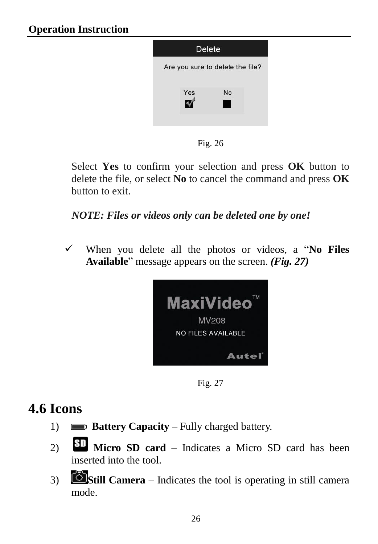

Fig. 26

Select **Yes** to confirm your selection and press **OK** button to delete the file, or select **No** to cancel the command and press **OK** button to exit.

*NOTE: Files or videos only can be deleted one by one!* 

 When you delete all the photos or videos, a "**No Files Available**" message appears on the screen. *(Fig. 27)*



Fig. 27

## <span id="page-27-0"></span>**4.6 Icons**

- 1) **Battery Capacity** Fully charged battery.
- 2)**Micro SD card** Indicates a Micro SD card has been inserted into the tool.
- 3) **Still Camera** Indicates the tool is operating in still camera mode.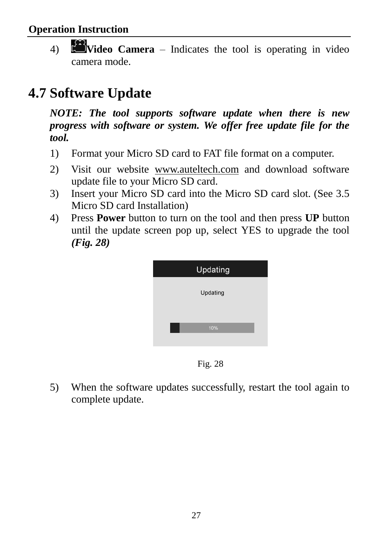4) **Video Camera** – Indicates the tool is operating in video camera mode.

## **4.7 Software Update**

*NOTE: The tool supports software update when there is new progress with software or system. We offer free update file for the tool.*

- 1) Format your Micro SD card to FAT file format on a computer.
- 2) Visit our website [www.auteltech.com](http://www.auteltech.com/) and download software update file to your Micro SD card.
- 3) Insert your Micro SD card into the Micro SD card slot. (See 3.5 Micro SD card Installation)
- 4) Press **Power** button to turn on the tool and then press **UP** button until the update screen pop up, select YES to upgrade the tool *(Fig. 28)*



Fig. 28

5) When the software updates successfully, restart the tool again to complete update.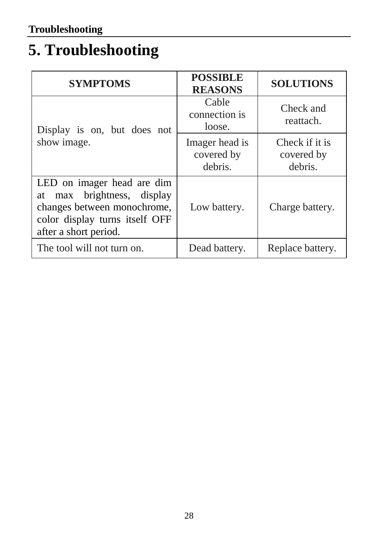## **5. Troubleshooting**

| <b>SYMPTOMS</b>                                                                                                                                       | <b>POSSIBLE</b><br><b>REASONS</b>       | <b>SOLUTIONS</b>                        |
|-------------------------------------------------------------------------------------------------------------------------------------------------------|-----------------------------------------|-----------------------------------------|
| Display is on, but does not                                                                                                                           | Cable<br>connection is<br>loose.        | Check and<br>reattach.                  |
| show image.                                                                                                                                           | Imager head is<br>covered by<br>debris. | Check if it is<br>covered by<br>debris. |
| LED on imager head are dim<br>max brightness, display<br>at<br>changes between monochrome,<br>color display turns itself OFF<br>after a short period. | Low battery.                            | Charge battery.                         |
| The tool will not turn on.                                                                                                                            | Dead battery.                           | Replace battery.                        |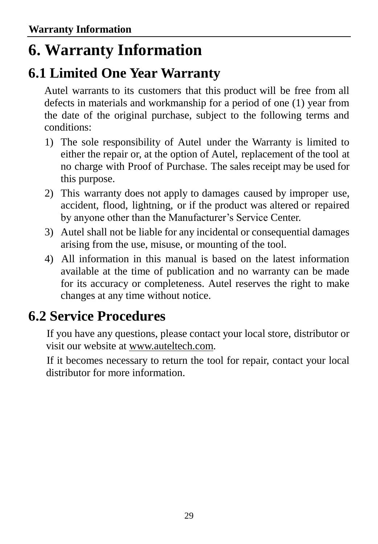## **6. Warranty Information**

### **6.1 Limited One Year Warranty**

Autel warrants to its customers that this product will be free from all defects in materials and workmanship for a period of one (1) year from the date of the original purchase, subject to the following terms and conditions:

- 1) The sole responsibility of Autel under the Warranty is limited to either the repair or, at the option of Autel, replacement of the tool at no charge with Proof of Purchase. The sales receipt may be used for this purpose.
- 2) This warranty does not apply to damages caused by improper use, accident, flood, lightning, or if the product was altered or repaired by anyone other than the Manufacturer's Service Center.
- 3) Autel shall not be liable for any incidental or consequential damages arising from the use, misuse, or mounting of the tool.
- 4) All information in this manual is based on the latest information available at the time of publication and no warranty can be made for its accuracy or completeness. Autel reserves the right to make changes at any time without notice.

## **6.2 Service Procedures**

If you have any questions, please contact your local store, distributor or visit our website at [www.auteltech.com.](http://www.auteltech.com/)

If it becomes necessary to return the tool for repair, contact your local distributor for more information.